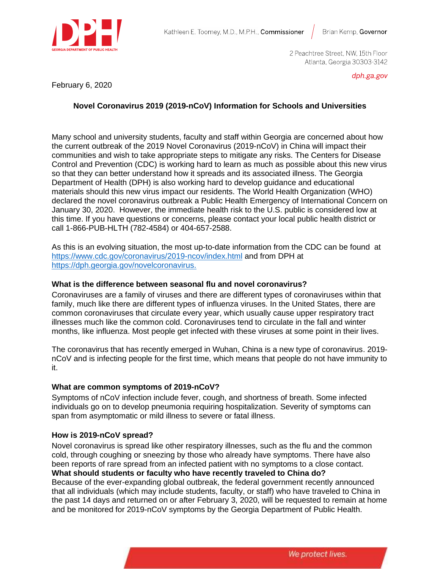

2 Peachtree Street, NW, 15th Floor Atlanta, Georgia 30303-3142

### February 6, 2020

dph.ga.gov

# **Novel Coronavirus 2019 (2019-nCoV) Information for Schools and Universities**

Many school and university students, faculty and staff within Georgia are concerned about how the current outbreak of the 2019 Novel Coronavirus (2019-nCoV) in China will impact their communities and wish to take appropriate steps to mitigate any risks. The Centers for Disease Control and Prevention (CDC) is working hard to learn as much as possible about this new virus so that they can better understand how it spreads and its associated illness. The Georgia Department of Health (DPH) is also working hard to develop guidance and educational materials should this new virus impact our residents. The World Health Organization (WHO) declared the novel coronavirus outbreak a Public Health Emergency of International Concern on January 30, 2020. However, the immediate health risk to the U.S. public is considered low at this time. If you have questions or concerns, please contact your local public health district or call 1-866-PUB-HLTH (782-4584) or 404-657-2588.

As this is an evolving situation, the most up-to-date information from the CDC can be found at <https://www.cdc.gov/coronavirus/2019-ncov/index.html> and from DPH at [https://dph.georgia.gov/novelcoronavirus.](https://dph.georgia.gov/novelcoronavirus)

### **What is the difference between seasonal flu and novel coronavirus?**

Coronaviruses are a family of viruses and there are different types of coronaviruses within that family, much like there are different types of influenza viruses. In the United States, there are common coronaviruses that circulate every year, which usually cause upper respiratory tract illnesses much like the common cold. Coronaviruses tend to circulate in the fall and winter months, like influenza. Most people get infected with these viruses at some point in their lives.

The coronavirus that has recently emerged in Wuhan, China is a new type of coronavirus. 2019 nCoV and is infecting people for the first time, which means that people do not have immunity to it.

#### **What are common symptoms of 2019-nCoV?**

Symptoms of nCoV infection include fever, cough, and shortness of breath. Some infected individuals go on to develop pneumonia requiring hospitalization. Severity of symptoms can span from asymptomatic or mild illness to severe or fatal illness.

### **How is 2019-nCoV spread?**

Novel coronavirus is spread like other respiratory illnesses, such as the flu and the common cold, through coughing or sneezing by those who already have symptoms. There have also been reports of rare spread from an infected patient with no symptoms to a close contact. **What should students or faculty who have recently traveled to China do?** 

Because of the ever-expanding global outbreak, the federal government recently announced that all individuals (which may include students, faculty, or staff) who have traveled to China in the past 14 days and returned on or after February 3, 2020, will be requested to remain at home and be monitored for 2019-nCoV symptoms by the Georgia Department of Public Health.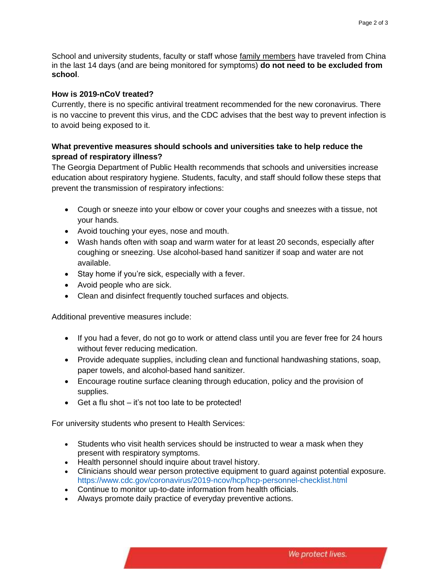School and university students, faculty or staff whose family members have traveled from China in the last 14 days (and are being monitored for symptoms) **do not need to be excluded from school**.

### **How is 2019-nCoV treated?**

Currently, there is no specific antiviral treatment recommended for the new coronavirus. There is no vaccine to prevent this virus, and the CDC advises that the best way to prevent infection is to avoid being exposed to it.

## **What preventive measures should schools and universities take to help reduce the spread of respiratory illness?**

The Georgia Department of Public Health recommends that schools and universities increase education about respiratory hygiene. Students, faculty, and staff should follow these steps that prevent the transmission of respiratory infections:

- Cough or sneeze into your elbow or cover your coughs and sneezes with a tissue, not your hands.
- Avoid touching your eyes, nose and mouth.
- Wash hands often with soap and warm water for at least 20 seconds, especially after coughing or sneezing. Use alcohol-based hand sanitizer if soap and water are not available.
- Stay home if you're sick, especially with a fever.
- Avoid people who are sick.
- Clean and disinfect frequently touched surfaces and objects.

Additional preventive measures include:

- If you had a fever, do not go to work or attend class until you are fever free for 24 hours without fever reducing medication.
- Provide adequate supplies, including clean and functional handwashing stations, soap, paper towels, and alcohol-based hand sanitizer.
- Encourage routine surface cleaning through education, policy and the provision of supplies.
- Get a flu shot it's not too late to be protected!

For university students who present to Health Services:

- Students who visit health services should be instructed to wear a mask when they present with respiratory symptoms.
- Health personnel should inquire about travel history.
- Clinicians should wear person protective equipment to guard against potential exposure. https://www.cdc.gov/coronavirus/2019-ncov/hcp/hcp-personnel-checklist.html
- Continue to monitor up-to-date information from health officials.
- Always promote daily practice of everyday preventive actions.